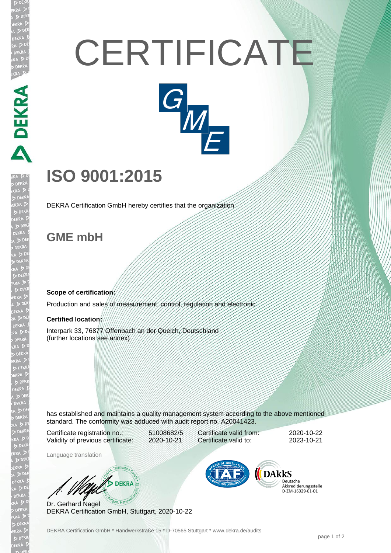# **CERTIFICATE**



## **ISO 9001:2015**

DEKRA Certification GmbH hereby certifies that the organization

### **GME mbH**

PEKRA PEKRA

#### **Scope of certification:**

Production and sales of measurement, control, regulation and electronic

#### **Certified location:**

Interpark 33, 76877 Offenbach an der Queich, Deutschland (further locations see annex)

has established and maintains a quality management system according to the above mentioned standard. The conformity was adduced with audit report no. A20041423.

Certificate registration no.: 51008682/5 Validity of previous certificate: 2020-10-21

Certificate valid from: 2020-10-22 Certificate valid to: 2023-10-21

Language translation

**UND DEKRA** 

Dr. Gerhard Nagel DEKRA Certification GmbH, Stuttgart, 2020-10-22



Deutsche Akkreditierungsstelle